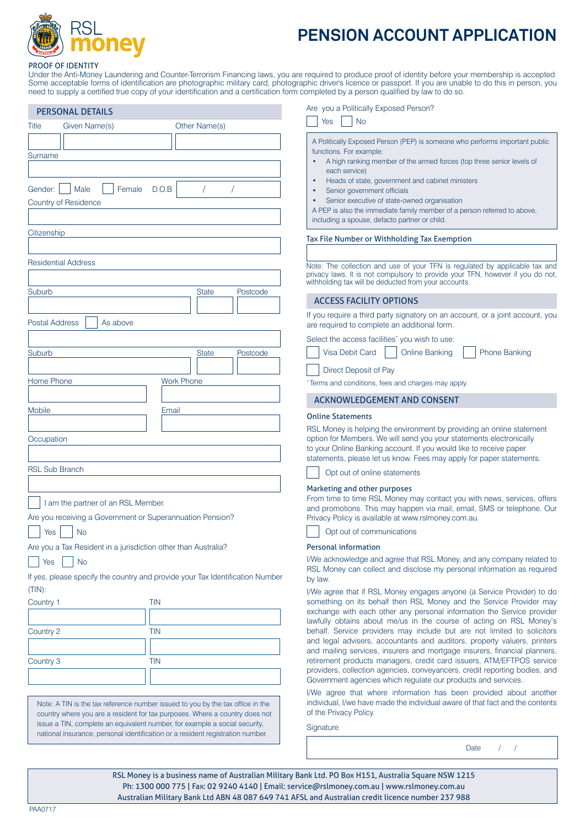

# **PENSION ACCOUNT APPLICATION**

#### PROOF OF IDENTITY

Under the Anti-Money Laundering and Counter-Terrorism Financing laws, you are required to produce proof of identity before your membership is accepted. Some acceptable forms of identification are photographic military card, photographic driver's licence or passport. If you are unable to do this in person, you need to supply a certified true copy of your identification and a certification form completed by a person qualified by law to do so.

| Given Name(s)<br>Other Name(s)<br>  Female D.O.B<br>$\sqrt{2}$<br>$\sqrt{2}$<br>Citizenship<br><b>Residential Address</b><br>Suburb<br>Postcode<br><b>State</b><br><b>Postal Address</b><br>As above<br><b>State</b><br>Postcode<br><b>Work Phone</b><br>Email<br><b>RSL Sub Branch</b><br>I am the partner of an RSL Member.<br>Are you receiving a Government or Superannuation Pension?<br><b>No</b><br>Yes<br>Are you a Tax Resident in a jurisdiction other than Australia?<br>Yes<br>No<br>If yes, please specify the country and provide your Tax Identification Number<br>$(TIN)$ :<br><b>TIN</b> | <b>PERSONAL DETAILS</b> |  |
|-----------------------------------------------------------------------------------------------------------------------------------------------------------------------------------------------------------------------------------------------------------------------------------------------------------------------------------------------------------------------------------------------------------------------------------------------------------------------------------------------------------------------------------------------------------------------------------------------------------|-------------------------|--|
|                                                                                                                                                                                                                                                                                                                                                                                                                                                                                                                                                                                                           | Title                   |  |
|                                                                                                                                                                                                                                                                                                                                                                                                                                                                                                                                                                                                           |                         |  |
|                                                                                                                                                                                                                                                                                                                                                                                                                                                                                                                                                                                                           | Surname                 |  |
|                                                                                                                                                                                                                                                                                                                                                                                                                                                                                                                                                                                                           |                         |  |
|                                                                                                                                                                                                                                                                                                                                                                                                                                                                                                                                                                                                           | Gender:     Male        |  |
|                                                                                                                                                                                                                                                                                                                                                                                                                                                                                                                                                                                                           | Country of Residence    |  |
|                                                                                                                                                                                                                                                                                                                                                                                                                                                                                                                                                                                                           |                         |  |
|                                                                                                                                                                                                                                                                                                                                                                                                                                                                                                                                                                                                           |                         |  |
|                                                                                                                                                                                                                                                                                                                                                                                                                                                                                                                                                                                                           |                         |  |
|                                                                                                                                                                                                                                                                                                                                                                                                                                                                                                                                                                                                           |                         |  |
|                                                                                                                                                                                                                                                                                                                                                                                                                                                                                                                                                                                                           |                         |  |
|                                                                                                                                                                                                                                                                                                                                                                                                                                                                                                                                                                                                           |                         |  |
|                                                                                                                                                                                                                                                                                                                                                                                                                                                                                                                                                                                                           |                         |  |
|                                                                                                                                                                                                                                                                                                                                                                                                                                                                                                                                                                                                           |                         |  |
|                                                                                                                                                                                                                                                                                                                                                                                                                                                                                                                                                                                                           | Suburb                  |  |
|                                                                                                                                                                                                                                                                                                                                                                                                                                                                                                                                                                                                           |                         |  |
|                                                                                                                                                                                                                                                                                                                                                                                                                                                                                                                                                                                                           | Home Phone              |  |
|                                                                                                                                                                                                                                                                                                                                                                                                                                                                                                                                                                                                           |                         |  |
|                                                                                                                                                                                                                                                                                                                                                                                                                                                                                                                                                                                                           | Mobile                  |  |
|                                                                                                                                                                                                                                                                                                                                                                                                                                                                                                                                                                                                           |                         |  |
|                                                                                                                                                                                                                                                                                                                                                                                                                                                                                                                                                                                                           | Occupation              |  |
|                                                                                                                                                                                                                                                                                                                                                                                                                                                                                                                                                                                                           |                         |  |
|                                                                                                                                                                                                                                                                                                                                                                                                                                                                                                                                                                                                           |                         |  |
|                                                                                                                                                                                                                                                                                                                                                                                                                                                                                                                                                                                                           |                         |  |
|                                                                                                                                                                                                                                                                                                                                                                                                                                                                                                                                                                                                           |                         |  |
|                                                                                                                                                                                                                                                                                                                                                                                                                                                                                                                                                                                                           |                         |  |
|                                                                                                                                                                                                                                                                                                                                                                                                                                                                                                                                                                                                           |                         |  |
|                                                                                                                                                                                                                                                                                                                                                                                                                                                                                                                                                                                                           |                         |  |
|                                                                                                                                                                                                                                                                                                                                                                                                                                                                                                                                                                                                           |                         |  |
|                                                                                                                                                                                                                                                                                                                                                                                                                                                                                                                                                                                                           |                         |  |
|                                                                                                                                                                                                                                                                                                                                                                                                                                                                                                                                                                                                           | Country 1               |  |
|                                                                                                                                                                                                                                                                                                                                                                                                                                                                                                                                                                                                           |                         |  |
| TIN                                                                                                                                                                                                                                                                                                                                                                                                                                                                                                                                                                                                       | Country 2               |  |
|                                                                                                                                                                                                                                                                                                                                                                                                                                                                                                                                                                                                           |                         |  |
| TIN                                                                                                                                                                                                                                                                                                                                                                                                                                                                                                                                                                                                       | Country 3               |  |
|                                                                                                                                                                                                                                                                                                                                                                                                                                                                                                                                                                                                           |                         |  |
|                                                                                                                                                                                                                                                                                                                                                                                                                                                                                                                                                                                                           |                         |  |
| Note: A TIN is the tax reference number issued to you by the tax office in the<br>country where you are a resident for tax purposes. Where a country does not                                                                                                                                                                                                                                                                                                                                                                                                                                             |                         |  |
| issue a TIN, complete an equivalent number, for example a social security,<br>national insurance, personal identification or a resident registration number.                                                                                                                                                                                                                                                                                                                                                                                                                                              |                         |  |
|                                                                                                                                                                                                                                                                                                                                                                                                                                                                                                                                                                                                           |                         |  |

Are you a Politically Exposed Person?

| ÷ |  |
|---|--|
|   |  |

A Politically Exposed Person (PEP) is someone who performs important public functions. For example:

- A high ranking member of the armed forces (top three senior levels of each service)
- Heads of state, government and cabinet ministers
- Senior government officials
- Senior executive of state-owned organisation

A PEP is also the immediate family member of a person referred to above, including a spouse, defacto partner or child.

Tax File Number or Withholding Tax Exemption

Note: The collection and use of your TFN is regulated by applicable tax and privacy laws. It is not compulsory to provide your TFN, however if you do not, withholding tax will be deducted from your accounts.

## ACCESS FACILITY OPTIONS

If you require a third party signatory on an account, or a joint account, you are required to complete an additional form.

Select the access facilities<sup>\*</sup> you wish to use:

|  | Visa Debit Card     Online Banking     Phone Banking |  |
|--|------------------------------------------------------|--|
|  |                                                      |  |

Direct Deposit of Pay

Terms and conditions, fees and charges may apply.

#### ACKNOWLEDGEMENT AND CONSENT

### Online Statements

RSL Money is helping the environment by providing an online statement option for Members. We will send you your statements electronically to your Online Banking account. If you would like to receive paper statements, please let us know. Fees may apply for paper statements.

Opt out of online statements

# Marketing and other purposes

From time to time RSL Money may contact you with news, services, offers and promotions. This may happen via mail, email, SMS or telephone. Our Privacy Policy is available at www.rslmoney.com.au.

Opt out of communications

# Personal information

I/We acknowledge and agree that RSL Money, and any company related to RSL Money can collect and disclose my personal information as required by law.

I/We agree that if RSL Money engages anyone (a Service Provider) to do something on its behalf then RSL Money and the Service Provider may exchange with each other any personal information the Service provider lawfully obtains about me/us in the course of acting on RSL Money's behalf. Service providers may include but are not limited to solicitors and legal advisers, accountants and auditors, property valuers, printers and mailing services, insurers and mortgage insurers, financial planners, retirement products managers, credit card issuers, ATM/EFTPOS service providers, collection agencies, conveyancers, credit reporting bodies, and Government agencies which regulate our products and services.

I/We agree that where information has been provided about another individual, I/we have made the individual aware of that fact and the contents of the Privacy Policy.

**Signature** 

Date / / /

RSL Money is a business name of Australian Military Bank Ltd. PO Box H151, Australia Square NSW 1215 Ph: 1300 000 775 | Fax: 02 9240 4140 | Email: service@rslmoney.com.au | www.rslmoney.com.au Australian Military Bank Ltd ABN 48 087 649 741 AFSL and Australian credit licence number 237 988